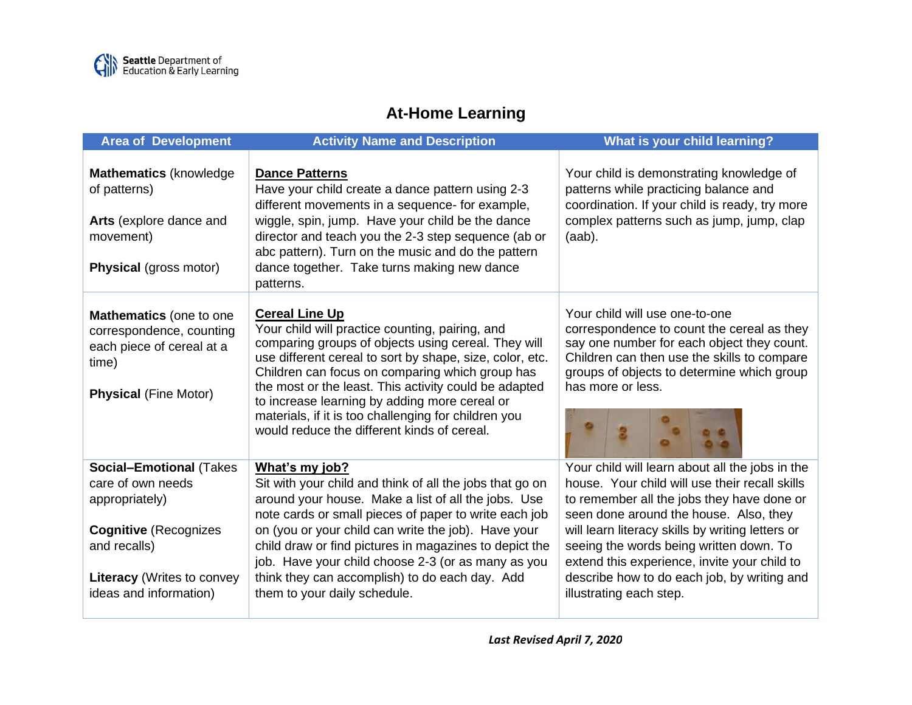

## **At-Home Learning**

| <b>Area of Development</b>                                                                                                                                                            | <b>Activity Name and Description</b>                                                                                                                                                                                                                                                                                                                                                                                                                            | What is your child learning?                                                                                                                                                                                                                                                                                                                                                                                       |
|---------------------------------------------------------------------------------------------------------------------------------------------------------------------------------------|-----------------------------------------------------------------------------------------------------------------------------------------------------------------------------------------------------------------------------------------------------------------------------------------------------------------------------------------------------------------------------------------------------------------------------------------------------------------|--------------------------------------------------------------------------------------------------------------------------------------------------------------------------------------------------------------------------------------------------------------------------------------------------------------------------------------------------------------------------------------------------------------------|
| Mathematics (knowledge)<br>of patterns)<br>Arts (explore dance and<br>movement)<br><b>Physical (gross motor)</b>                                                                      | <b>Dance Patterns</b><br>Have your child create a dance pattern using 2-3<br>different movements in a sequence- for example,<br>wiggle, spin, jump. Have your child be the dance<br>director and teach you the 2-3 step sequence (ab or<br>abc pattern). Turn on the music and do the pattern<br>dance together. Take turns making new dance<br>patterns.                                                                                                       | Your child is demonstrating knowledge of<br>patterns while practicing balance and<br>coordination. If your child is ready, try more<br>complex patterns such as jump, jump, clap<br>$(aab)$ .                                                                                                                                                                                                                      |
| Mathematics (one to one<br>correspondence, counting<br>each piece of cereal at a<br>time)<br><b>Physical (Fine Motor)</b>                                                             | <b>Cereal Line Up</b><br>Your child will practice counting, pairing, and<br>comparing groups of objects using cereal. They will<br>use different cereal to sort by shape, size, color, etc.<br>Children can focus on comparing which group has<br>the most or the least. This activity could be adapted<br>to increase learning by adding more cereal or<br>materials, if it is too challenging for children you<br>would reduce the different kinds of cereal. | Your child will use one-to-one<br>correspondence to count the cereal as they<br>say one number for each object they count.<br>Children can then use the skills to compare<br>groups of objects to determine which group<br>has more or less.                                                                                                                                                                       |
| <b>Social-Emotional (Takes</b><br>care of own needs<br>appropriately)<br><b>Cognitive (Recognizes)</b><br>and recalls)<br><b>Literacy</b> (Writes to convey<br>ideas and information) | What's my job?<br>Sit with your child and think of all the jobs that go on<br>around your house. Make a list of all the jobs. Use<br>note cards or small pieces of paper to write each job<br>on (you or your child can write the job). Have your<br>child draw or find pictures in magazines to depict the<br>job. Have your child choose 2-3 (or as many as you<br>think they can accomplish) to do each day. Add<br>them to your daily schedule.             | Your child will learn about all the jobs in the<br>house. Your child will use their recall skills<br>to remember all the jobs they have done or<br>seen done around the house. Also, they<br>will learn literacy skills by writing letters or<br>seeing the words being written down. To<br>extend this experience, invite your child to<br>describe how to do each job, by writing and<br>illustrating each step. |